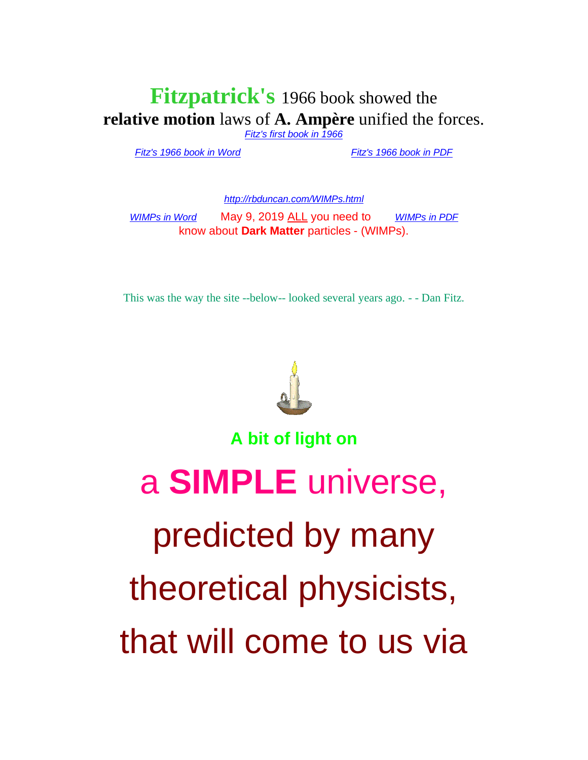## **Fitzpatrick's** 1966 book showed the **relative motion** laws of **A. Ampère** unified the forces.

*[Fitz's first book in 1966](http://rbduncan.com/1966.html)*

*[Fitz's 1966 book in Word](http://rbduncan.com/1966.doc)* . . . . . . . . . . . *[Fitz's 1966 book in PDF](http://rbduncan.com/1966.pdf)*

*<http://rbduncan.com/WIMPs.html>*

*[WIMPs in Word](http://rbduncan.com/WIMPS.doc)* May 9, 2019 ALL you need to [WIMPs in PDF](http://rbduncan.com/WIMPs.pdf) know about **Dark Matter** particles - (WIMPs).

This was the way the site --below-- looked several years ago. - - Dan Fitz.



**A bit of light on**

a **SIMPLE** universe, predicted by many theoretical physicists, that will come to us via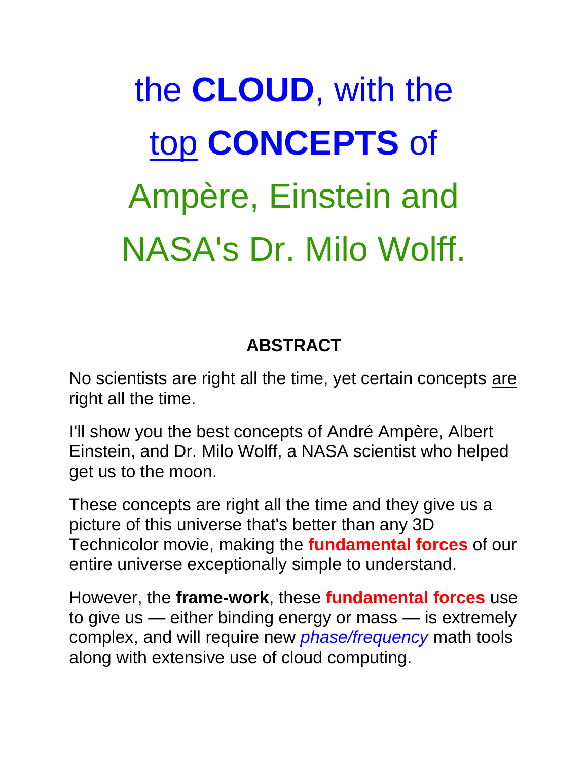## the **CLOUD**, with the top **CONCEPTS** of Ampère, Einstein and NASA's Dr. Milo Wolff.

## **ABSTRACT**

No scientists are right all the time, yet certain concepts are right all the time.

I'll show you the best concepts of André Ampère, Albert Einstein, and Dr. Milo Wolff, a NASA scientist who helped get us to the moon.

These concepts are right all the time and they give us a picture of this universe that's better than any 3D Technicolor movie, making the **fundamental forces** of our entire universe exceptionally simple to understand.

However, the **frame-work**, these **fundamental forces** use to give us — either binding energy or mass — is extremely complex, and will require new *phase/frequency* math tools along with extensive use of cloud computing.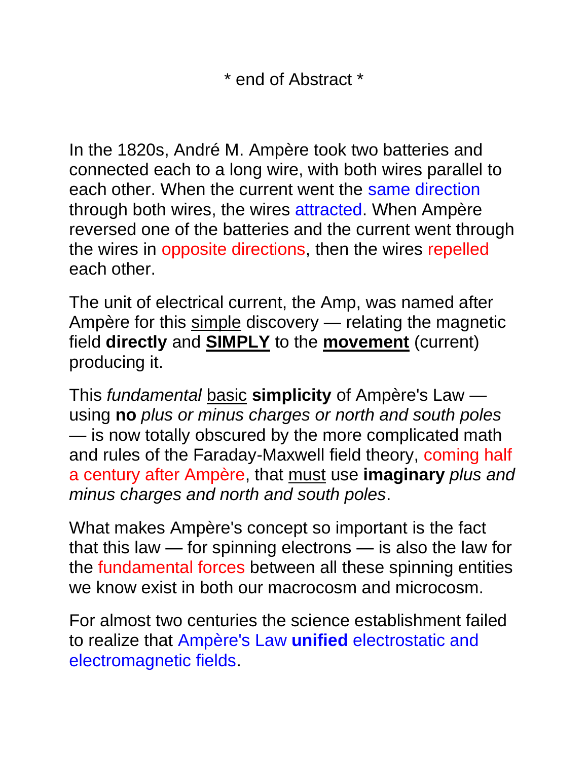\* end of Abstract \*

In the 1820s, André M. Ampère took two batteries and connected each to a long wire, with both wires parallel to each other. When the current went the same direction through both wires, the wires attracted. When Ampère reversed one of the batteries and the current went through the wires in opposite directions, then the wires repelled each other.

The unit of electrical current, the Amp, was named after Ampère for this simple discovery - relating the magnetic field **directly** and **SIMPLY** to the **movement** (current) producing it.

This *fundamental* basic **simplicity** of Ampère's Law using **no** *plus or minus charges or north and south poles* — is now totally obscured by the more complicated math and rules of the Faraday-Maxwell field theory, coming half a century after Ampère, that must use **imaginary** *plus and minus charges and north and south poles*.

What makes Ampère's concept so important is the fact that this law — for spinning electrons — is also the law for the fundamental forces between all these spinning entities we know exist in both our macrocosm and microcosm.

For almost two centuries the science establishment failed to realize that Ampère's Law **unified** electrostatic and electromagnetic fields.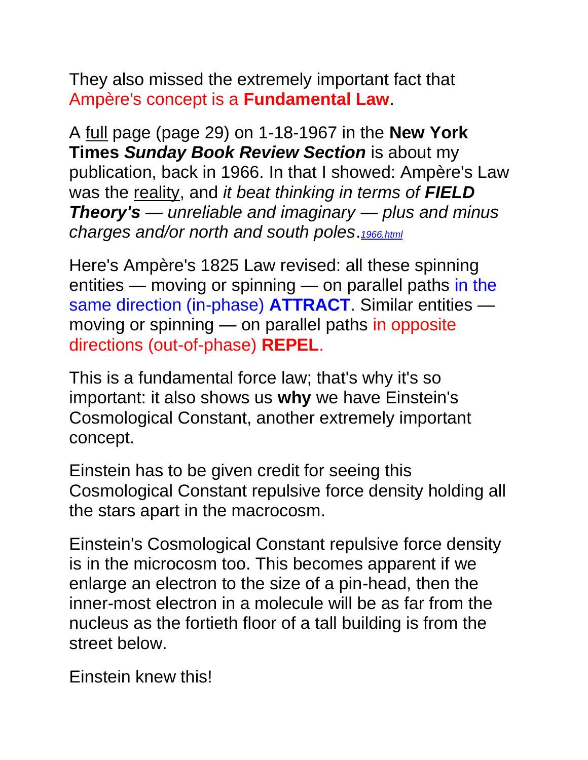They also missed the extremely important fact that Ampère's concept is a **Fundamental Law**.

A full page (page 29) on 1-18-1967 in the **New York Times** *Sunday Book Review Section* is about my publication, back in 1966. In that I showed: Ampère's Law was the reality, and *it beat thinking in terms of FIELD Theory's — unreliable and imaginary — plus and minus charges and/or north and south poles*.*[1966.html](http://www.rbduncan.com/1966.html)*

Here's Ampère's 1825 Law revised: all these spinning entities — moving or spinning — on parallel paths in the same direction (in-phase) **ATTRACT**. Similar entities moving or spinning — on parallel paths in opposite directions (out-of-phase) **REPEL**.

This is a fundamental force law; that's why it's so important: it also shows us **why** we have Einstein's Cosmological Constant, another extremely important concept.

Einstein has to be given credit for seeing this Cosmological Constant repulsive force density holding all the stars apart in the macrocosm.

Einstein's Cosmological Constant repulsive force density is in the microcosm too. This becomes apparent if we enlarge an electron to the size of a pin-head, then the inner-most electron in a molecule will be as far from the nucleus as the fortieth floor of a tall building is from the street below.

Einstein knew this!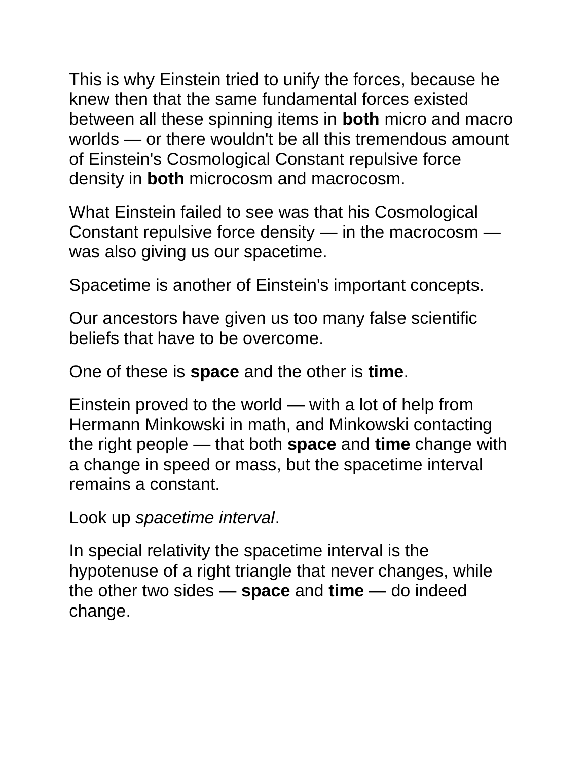This is why Einstein tried to unify the forces, because he knew then that the same fundamental forces existed between all these spinning items in **both** micro and macro worlds — or there wouldn't be all this tremendous amount of Einstein's Cosmological Constant repulsive force density in **both** microcosm and macrocosm.

What Einstein failed to see was that his Cosmological Constant repulsive force density — in the macrocosm was also giving us our spacetime.

Spacetime is another of Einstein's important concepts.

Our ancestors have given us too many false scientific beliefs that have to be overcome.

One of these is **space** and the other is **time**.

Einstein proved to the world — with a lot of help from Hermann Minkowski in math, and Minkowski contacting the right people — that both **space** and **time** change with a change in speed or mass, but the spacetime interval remains a constant.

Look up *spacetime interval*.

In special relativity the spacetime interval is the hypotenuse of a right triangle that never changes, while the other two sides — **space** and **time** — do indeed change.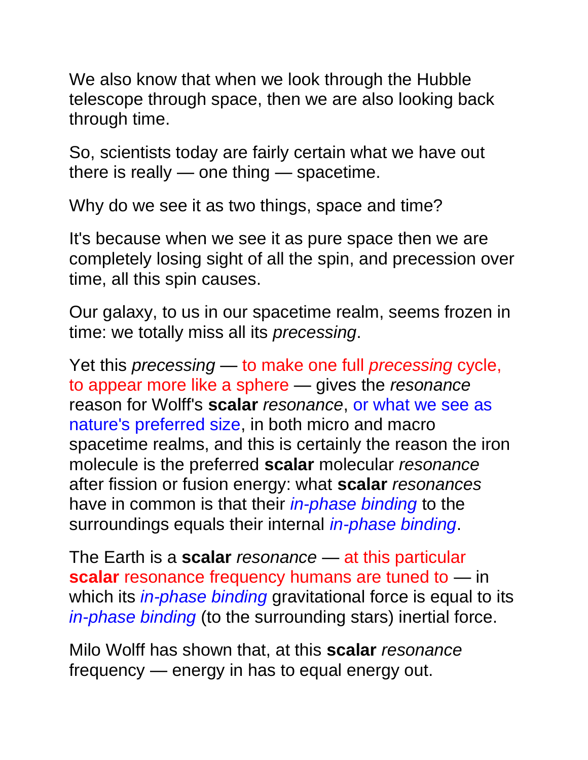We also know that when we look through the Hubble telescope through space, then we are also looking back through time.

So, scientists today are fairly certain what we have out there is really — one thing — spacetime.

Why do we see it as two things, space and time?

It's because when we see it as pure space then we are completely losing sight of all the spin, and precession over time, all this spin causes.

Our galaxy, to us in our spacetime realm, seems frozen in time: we totally miss all its *precessing*.

Yet this *precessing* — to make one full *precessing* cycle, to appear more like a sphere — gives the *resonance* reason for Wolff's **scalar** *resonance*, or what we see as nature's preferred size, in both micro and macro spacetime realms, and this is certainly the reason the iron molecule is the preferred **scalar** molecular *resonance* after fission or fusion energy: what **scalar** *resonances* have in common is that their *in-phase binding* to the surroundings equals their internal *in-phase binding*.

The Earth is a **scalar** *resonance* — at this particular **scalar** resonance frequency humans are tuned to — in which its *in-phase binding* gravitational force is equal to its *in-phase binding* (to the surrounding stars) inertial force.

Milo Wolff has shown that, at this **scalar** *resonance* frequency — energy in has to equal energy out.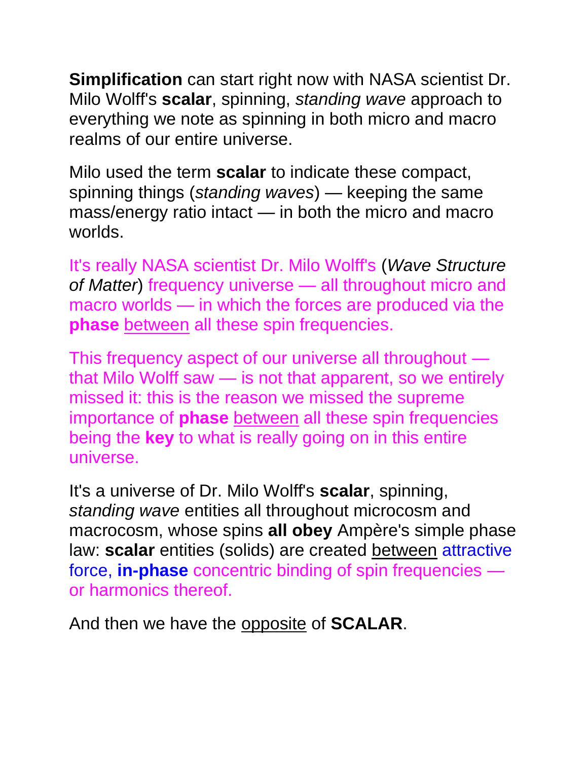**Simplification** can start right now with NASA scientist Dr. Milo Wolff's **scalar**, spinning, *standing wave* approach to everything we note as spinning in both micro and macro realms of our entire universe.

Milo used the term **scalar** to indicate these compact, spinning things (*standing waves*) — keeping the same mass/energy ratio intact — in both the micro and macro worlds.

It's really NASA scientist Dr. Milo Wolff's (*Wave Structure of Matter*) frequency universe — all throughout micro and macro worlds — in which the forces are produced via the **phase** between all these spin frequencies.

This frequency aspect of our universe all throughout that Milo Wolff saw — is not that apparent, so we entirely missed it: this is the reason we missed the supreme importance of **phase** between all these spin frequencies being the **key** to what is really going on in this entire universe.

It's a universe of Dr. Milo Wolff's **scalar**, spinning, *standing wave* entities all throughout microcosm and macrocosm, whose spins **all obey** Ampère's simple phase law: **scalar** entities (solids) are created between attractive force, **in-phase** concentric binding of spin frequencies or harmonics thereof.

And then we have the opposite of **SCALAR**.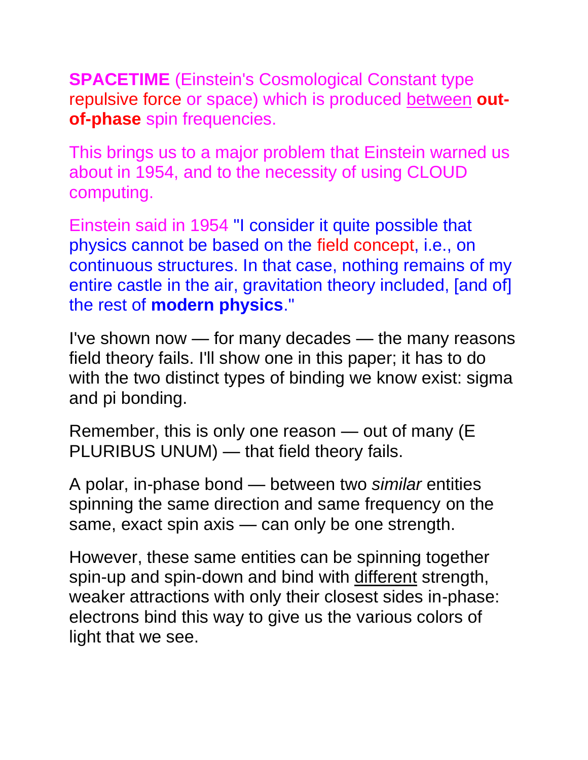**SPACETIME** (Einstein's Cosmological Constant type repulsive force or space) which is produced between **outof-phase** spin frequencies.

This brings us to a major problem that Einstein warned us about in 1954, and to the necessity of using CLOUD computing.

Einstein said in 1954 "I consider it quite possible that physics cannot be based on the field concept, i.e., on continuous structures. In that case, nothing remains of my entire castle in the air, gravitation theory included, [and of] the rest of **modern physics**."

I've shown now — for many decades — the many reasons field theory fails. I'll show one in this paper; it has to do with the two distinct types of binding we know exist: sigma and pi bonding.

Remember, this is only one reason — out of many (E PLURIBUS UNUM) — that field theory fails.

A polar, in-phase bond — between two *similar* entities spinning the same direction and same frequency on the same, exact spin axis — can only be one strength.

However, these same entities can be spinning together spin-up and spin-down and bind with different strength, weaker attractions with only their closest sides in-phase: electrons bind this way to give us the various colors of light that we see.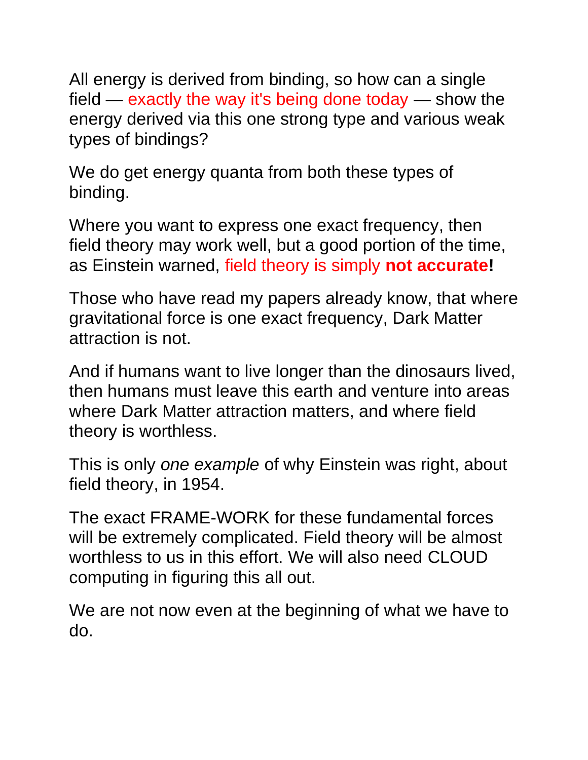All energy is derived from binding, so how can a single field — exactly the way it's being done today — show the energy derived via this one strong type and various weak types of bindings?

We do get energy quanta from both these types of binding.

Where you want to express one exact frequency, then field theory may work well, but a good portion of the time, as Einstein warned, field theory is simply **not accurate!**

Those who have read my papers already know, that where gravitational force is one exact frequency, Dark Matter attraction is not.

And if humans want to live longer than the dinosaurs lived, then humans must leave this earth and venture into areas where Dark Matter attraction matters, and where field theory is worthless.

This is only *one example* of why Einstein was right, about field theory, in 1954.

The exact FRAME-WORK for these fundamental forces will be extremely complicated. Field theory will be almost worthless to us in this effort. We will also need CLOUD computing in figuring this all out.

We are not now even at the beginning of what we have to do.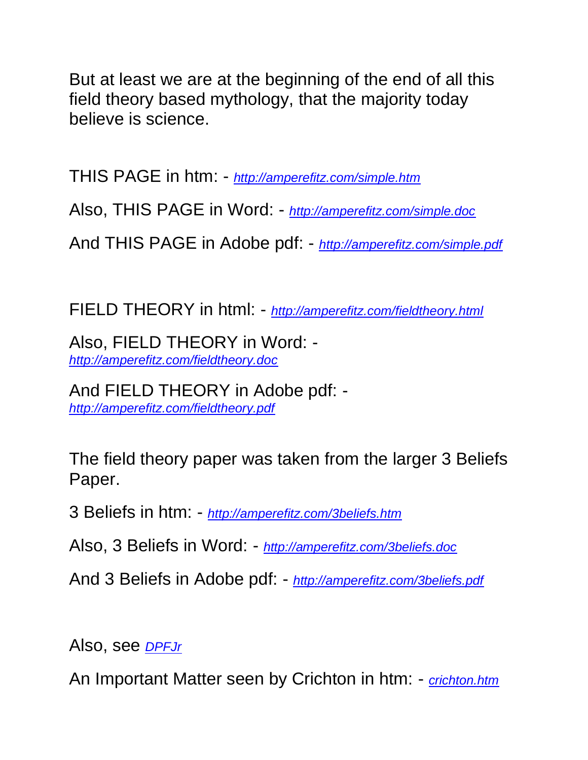But at least we are at the beginning of the end of all this field theory based mythology, that the majority today believe is science.

THIS PAGE in htm: - *<http://amperefitz.com/simple.htm>*

Also, THIS PAGE in Word: - *<http://amperefitz.com/simple.doc>*

And THIS PAGE in Adobe pdf: - *<http://amperefitz.com/simple.pdf>*

FIELD THEORY in html: - *<http://amperefitz.com/fieldtheory.html>*

Also, FIELD THEORY in Word: *<http://amperefitz.com/fieldtheory.doc>*

And FIELD THEORY in Adobe pdf: *<http://amperefitz.com/fieldtheory.pdf>*

The field theory paper was taken from the larger 3 Beliefs Paper.

3 Beliefs in htm: - *<http://amperefitz.com/3beliefs.htm>*

Also, 3 Beliefs in Word: - *<http://amperefitz.com/3beliefs.doc>*

And 3 Beliefs in Adobe pdf: - *<http://amperefitz.com/3beliefs.pdf>*

Also, see *[DPFJr](http://amperefitz.com/DPFJr)*

An Important Matter seen by Crichton in htm: - *[crichton.htm](http://amperefitz.com/crichton.htm)*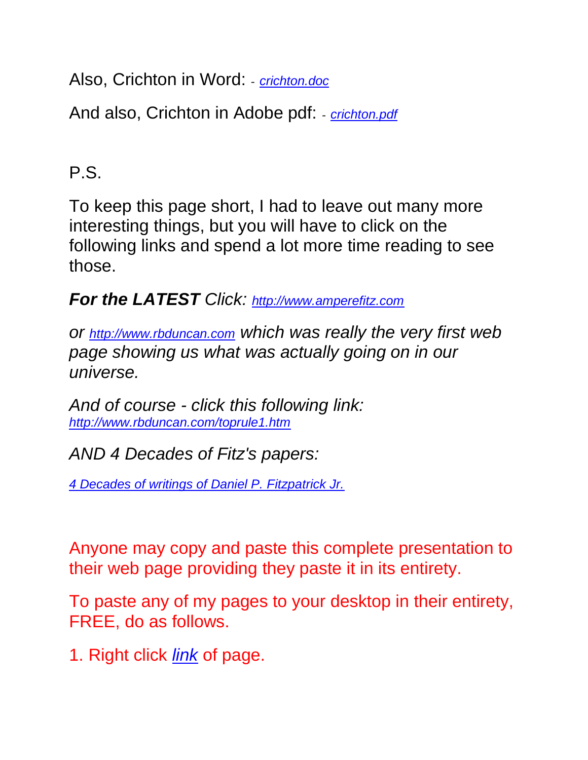Also, Crichton in Word: - *[crichton.doc](http://amperefitz.com/crichton.doc)*

And also, Crichton in Adobe pdf: - *[crichton.pdf](http://amperefitz.com/crichton.pdf)*

P.S.

To keep this page short, I had to leave out many more interesting things, but you will have to click on the following links and spend a lot more time reading to see those.

*For the LATEST Click: [http://www.amperefitz.com](http://www.amperefitz.com/)*

*or [http://www.rbduncan.com](http://www.rbduncan.com/) which was really the very first web page showing us what was actually going on in our universe.*

*And of course - click this following link: <http://www.rbduncan.com/toprule1.htm>*

*AND 4 Decades of Fitz's papers:*

*[4 Decades of writings of Daniel P. Fitzpatrick Jr.](http://www.rbduncan.com/4.decades.htm)* 

Anyone may copy and paste this complete presentation to their web page providing they paste it in its entirety.

To paste any of my pages to your desktop in their entirety, FREE, do as follows.

1. Right click *link* of page.